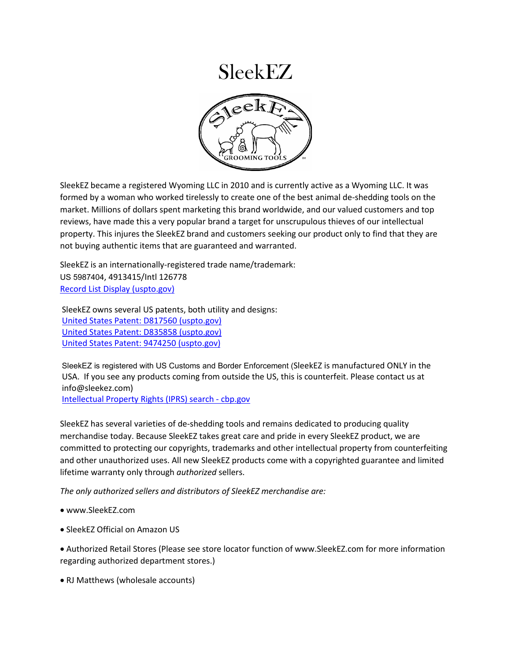

SleekEZ became a registered Wyoming LLC in 2010 and is currently active as a Wyoming LLC. It was formed by a woman who worked tirelessly to create one of the best animal de-shedding tools on the market. Millions of dollars spent marketing this brand worldwide, and our valued customers and top reviews, have made this a very popular brand a target for unscrupulous thieves of our intellectual property. This injures the SleekEZ brand and customers seeking our product only to find that they are not buying authentic items that are guaranteed and warranted.

SleekEZ is an internationally-registered trade name/trademark: US 5987404, 4913415/Intl 126778 [Record List Display \(uspto.gov\)](https://tmsearch.uspto.gov/bin/showfield?f=toc&state=4807%3Ax4g37k.1.1&p_search=searchss&p_L=50&BackReference=&p_plural=yes&p_s_PARA1=&p_tagrepl%7E%3A=PARA1%24LD&expr=PARA1+AND+PARA2&p_s_PARA2=SLEEKEZ&p_tagrepl%7E%3A=PARA2%24COMB&p_op_ALL=AND&a_default=search&a_search=Submit+Query&a_search=Submit+Query)

SleekEZ owns several US patents, both utility and designs: [United States Patent: D817560 \(uspto.gov\)](http://patft.uspto.gov/netacgi/nph-Parser?Sect1=PTO2&Sect2=HITOFF&p=1&u=%2Fnetahtml%2FPTO%2Fsearch-bool.html&r=33&f=G&l=50&co1=AND&d=PTXT&s1=tipton&s2=jennifer&OS=tipton+AND+jennifer&RS=tipton+AND+jennifer) [United States Patent: D835858 \(uspto.gov\)](http://patft.uspto.gov/netacgi/nph-Parser?Sect1=PTO2&Sect2=HITOFF&p=1&u=%2Fnetahtml%2FPTO%2Fsearch-bool.html&r=22&f=G&l=50&co1=AND&d=PTXT&s1=tipton&s2=jennifer&OS=tipton+AND+jennifer&RS=tipton+AND+jennifer) [United States Patent: 9474250 \(uspto.gov\)](http://patft.uspto.gov/netacgi/nph-Parser?Sect1=PTO2&Sect2=HITOFF&p=2&u=%2Fnetahtml%2FPTO%2Fsearch-bool.html&r=51&f=G&l=50&co1=AND&d=PTXT&s1=tipton&s2=jennifer&OS=tipton+AND+jennifer&RS=tipton+AND+jennifer)

SleekEZ is registered with US Customs and Border Enforcement (SleekEZ is manufactured ONLY in the USA. If you see any products coming from outside the US, this is counterfeit. Please contact us at info@sleekez.com)

[Intellectual Property Rights \(IPRS\) search -](https://iprs.cbp.gov/Pages/ResultDetail.aspx?id=137148&searchText=TMK+AND+18-01088) cbp.gov

SleekEZ has several varieties of de-shedding tools and remains dedicated to producing quality merchandise today. Because SleekEZ takes great care and pride in every SleekEZ product, we are committed to protecting our copyrights, trademarks and other intellectual property from counterfeiting and other unauthorized uses. All new SleekEZ products come with a copyrighted guarantee and limited lifetime warranty only through *authorized* sellers.

*The only authorized sellers and distributors of SleekEZ merchandise are:* 

- www.SleekEZ.com
- SleekEZ Official on Amazon US
- Authorized Retail Stores (Please see store locator function of www.SleekEZ.com for more information regarding authorized department stores.)
- RJ Matthews (wholesale accounts)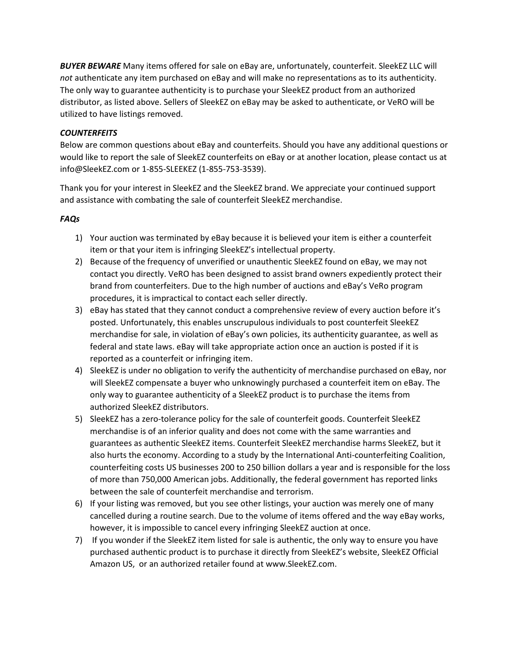*BUYER BEWARE* Many items offered for sale on eBay are, unfortunately, counterfeit. SleekEZ LLC will *not* authenticate any item purchased on eBay and will make no representations as to its authenticity. The only way to guarantee authenticity is to purchase your SleekEZ product from an authorized distributor, as listed above. Sellers of SleekEZ on eBay may be asked to authenticate, or VeRO will be utilized to have listings removed.

## *COUNTERFEITS*

Below are common questions about eBay and counterfeits. Should you have any additional questions or would like to report the sale of SleekEZ counterfeits on eBay or at another location, please contact us at info@SleekEZ.com or 1-855-SLEEKEZ (1-855-753-3539).

Thank you for your interest in SleekEZ and the SleekEZ brand. We appreciate your continued support and assistance with combating the sale of counterfeit SleekEZ merchandise.

## *FAQs*

- 1) Your auction was terminated by eBay because it is believed your item is either a counterfeit item or that your item is infringing SleekEZ's intellectual property.
- 2) Because of the frequency of unverified or unauthentic SleekEZ found on eBay, we may not contact you directly. VeRO has been designed to assist brand owners expediently protect their brand from counterfeiters. Due to the high number of auctions and eBay's VeRo program procedures, it is impractical to contact each seller directly.
- 3) eBay has stated that they cannot conduct a comprehensive review of every auction before it's posted. Unfortunately, this enables unscrupulous individuals to post counterfeit SleekEZ merchandise for sale, in violation of eBay's own policies, its authenticity guarantee, as well as federal and state laws. eBay will take appropriate action once an auction is posted if it is reported as a counterfeit or infringing item.
- 4) SleekEZ is under no obligation to verify the authenticity of merchandise purchased on eBay, nor will SleekEZ compensate a buyer who unknowingly purchased a counterfeit item on eBay. The only way to guarantee authenticity of a SleekEZ product is to purchase the items from authorized SleekEZ distributors.
- 5) SleekEZ has a zero-tolerance policy for the sale of counterfeit goods. Counterfeit SleekEZ merchandise is of an inferior quality and does not come with the same warranties and guarantees as authentic SleekEZ items. Counterfeit SleekEZ merchandise harms SleekEZ, but it also hurts the economy. According to a study by the International Anti-counterfeiting Coalition, counterfeiting costs US businesses 200 to 250 billion dollars a year and is responsible for the loss of more than 750,000 American jobs. Additionally, the federal government has reported links between the sale of counterfeit merchandise and terrorism.
- 6) If your listing was removed, but you see other listings, your auction was merely one of many cancelled during a routine search. Due to the volume of items offered and the way eBay works, however, it is impossible to cancel every infringing SleekEZ auction at once.
- 7) If you wonder if the SleekEZ item listed for sale is authentic, the only way to ensure you have purchased authentic product is to purchase it directly from SleekEZ's website, SleekEZ Official Amazon US, or an authorized retailer found at www.SleekEZ.com.